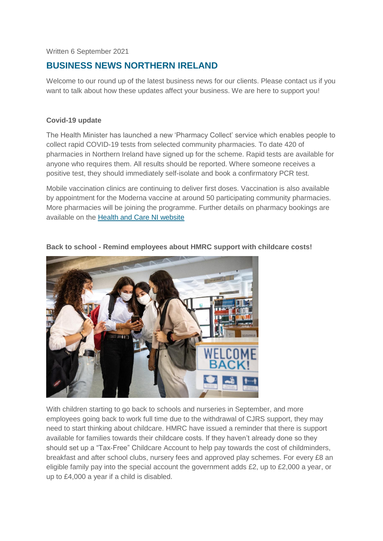Written 6 September 2021

# **BUSINESS NEWS NORTHERN IRELAND**

Welcome to our round up of the latest business news for our clients. Please contact us if you want to talk about how these updates affect your business. We are here to support you!

#### **Covid-19 update**

The Health Minister has launched a new 'Pharmacy Collect' service which enables people to collect rapid COVID-19 tests from selected community pharmacies. To date 420 of pharmacies in Northern Ireland have signed up for the scheme. Rapid tests are available for anyone who requires them. All results should be reported. Where someone receives a positive test, they should immediately self-isolate and book a confirmatory PCR test.

Mobile vaccination clinics are continuing to deliver first doses. Vaccination is also available by appointment for the Moderna vaccine at around 50 participating community pharmacies. More pharmacies will be joining the programme. Further details on pharmacy bookings are available on the [Health and Care NI website](http://www.healthandcareni.net/pharmacy_rota/Covid_Moderna_Vaccination_Pharmacies.html)



#### **Back to school - Remind employees about HMRC support with childcare costs!**

With children starting to go back to schools and nurseries in September, and more employees going back to work full time due to the withdrawal of CJRS support, they may need to start thinking about childcare. HMRC have issued a reminder that there is support available for families towards their childcare costs. If they haven't already done so they should set up a "Tax-Free" Childcare Account to help pay towards the cost of childminders, breakfast and after school clubs, nursery fees and approved play schemes. For every £8 an eligible family pay into the special account the government adds £2, up to £2,000 a year, or up to £4,000 a year if a child is disabled.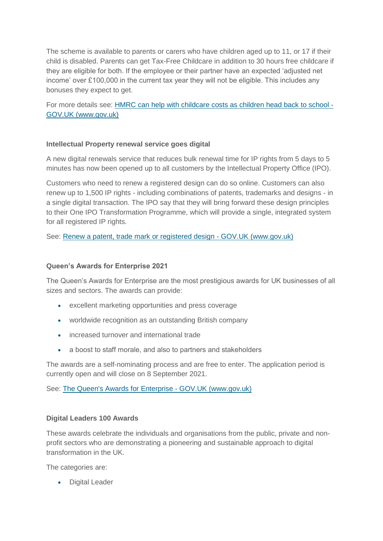The scheme is available to parents or carers who have children aged up to 11, or 17 if their child is disabled. Parents can get Tax-Free Childcare in addition to 30 hours free childcare if they are eligible for both. If the employee or their partner have an expected 'adjusted net income' over £100,000 in the current tax year they will not be eligible. This includes any bonuses they expect to get.

For more details see: [HMRC can help with childcare costs as children head back to school -](https://www.gov.uk/government/news/hmrc-can-help-with-childcare-costs-as-children-head-back-to-school) [GOV.UK \(www.gov.uk\)](https://www.gov.uk/government/news/hmrc-can-help-with-childcare-costs-as-children-head-back-to-school)

# **Intellectual Property renewal service goes digital**

A new digital renewals service that reduces bulk renewal time for IP rights from 5 days to 5 minutes has now been opened up to all customers by the Intellectual Property Office (IPO).

Customers who need to renew a registered design can do so online. Customers can also renew up to 1,500 IP rights - including combinations of patents, trademarks and designs - in a single digital transaction. The IPO say that they will bring forward these design principles to their One IPO Transformation Programme, which will provide a single, integrated system for all registered IP rights.

See: [Renew a patent, trade mark or registered design -](https://www.gov.uk/renew-patent-trademark-registered-design) GOV.UK (www.gov.uk)

#### **Queen's Awards for Enterprise 2021**

The Queen's Awards for Enterprise are the most prestigious awards for UK businesses of all sizes and sectors. The awards can provide:

- excellent marketing opportunities and press coverage
- worldwide recognition as an outstanding British company
- increased turnover and international trade
- a boost to staff morale, and also to partners and stakeholders

The awards are a self-nominating process and are free to enter. The application period is currently open and will close on 8 September 2021.

See: [The Queen's Awards for Enterprise -](https://www.gov.uk/queens-awards-for-enterprise) GOV.UK (www.gov.uk)

#### **Digital Leaders 100 Awards**

These awards celebrate the individuals and organisations from the public, private and nonprofit sectors who are demonstrating a pioneering and sustainable approach to digital transformation in the UK.

The categories are:

Digital Leader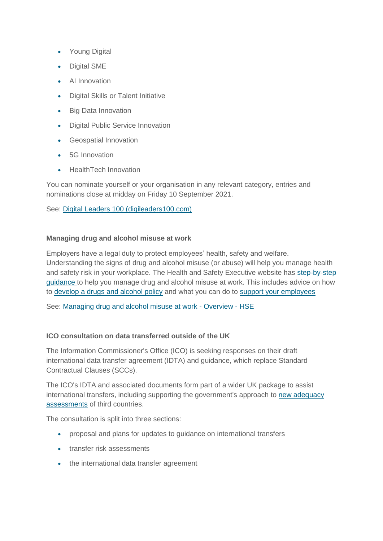- Young Digital
- Digital SME
- AI Innovation
- Digital Skills or Talent Initiative
- Big Data Innovation
- Digital Public Service Innovation
- Geospatial Innovation
- 5G Innovation
- HealthTech Innovation

You can nominate yourself or your organisation in any relevant category, entries and nominations close at midday on Friday 10 September 2021.

See: [Digital Leaders 100 \(digileaders100.com\)](https://digileaders100.com/)

#### **Managing drug and alcohol misuse at work**

Employers have a legal duty to protect employees' health, safety and welfare. Understanding the signs of drug and alcohol misuse (or abuse) will help you manage health and safety risk in your workplace. The Health and Safety Executive website has [step-by-step](https://www.hse.gov.uk/alcoholdrugs/index.htm?utm_source=govdelivery&utm_medium=email&utm_campaign=guidance-push&utm_term=drugs-1&utm_content=digest-5-aug-21)  [guidance](https://www.hse.gov.uk/alcoholdrugs/index.htm?utm_source=govdelivery&utm_medium=email&utm_campaign=guidance-push&utm_term=drugs-1&utm_content=digest-5-aug-21) to help you manage drug and alcohol misuse at work. This includes advice on how to [develop a drugs and alcohol policy](https://www.hse.gov.uk/alcoholdrugs/develop-policy.htm?utm_source=govdelivery&utm_medium=email&utm_campaign=guidance-push&utm_term=drugs-2&utm_content=digest-5-aug-21) and what you can do to [support your employees](https://www.hse.gov.uk/alcoholdrugs/support-employees.htm?utm_source=govdelivery&utm_medium=email&utm_campaign=guidance-push&utm_term=drugs-3&utm_content=digest-5-aug-21)

See: [Managing drug and alcohol misuse at work -](https://www.hse.gov.uk/alcoholdrugs/index.htm?utm_source=govdelivery&utm_medium=email&utm_campaign=guidance-push&utm_term=drugs-1&utm_content=digest-5-aug-21) Overview - HSE

# **ICO consultation on data transferred outside of the UK**

The Information Commissioner's Office (ICO) is seeking responses on their draft international data transfer agreement (IDTA) and guidance, which replace Standard Contractual Clauses (SCCs).

The ICO's IDTA and associated documents form part of a wider UK package to assist international transfers, including supporting the government's approach to [new adequacy](https://ico.org.uk/media/about-the-ico/mou/2619468/uk-adequacy-assessments-ico-dcms-memorandum-of-understanding.pdf)  [assessments](https://ico.org.uk/media/about-the-ico/mou/2619468/uk-adequacy-assessments-ico-dcms-memorandum-of-understanding.pdf) of third countries.

The consultation is split into three sections:

- proposal and plans for updates to guidance on international transfers
- **transfer risk assessments**
- the international data transfer agreement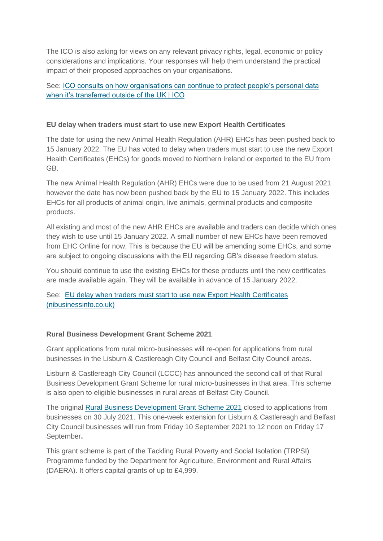The ICO is also asking for views on any relevant privacy rights, legal, economic or policy considerations and implications. Your responses will help them understand the practical impact of their proposed approaches on your organisations.

# See: [ICO consults on how organisations can continue to protect people's personal data](https://ico.org.uk/about-the-ico/ico-and-stakeholder-consultations/ico-consultation-on-data-transferred-outside-of-the-uk/)  [when it's transferred outside of the UK | ICO](https://ico.org.uk/about-the-ico/ico-and-stakeholder-consultations/ico-consultation-on-data-transferred-outside-of-the-uk/)

### **EU delay when traders must start to use new Export Health Certificates**

The date for using the new Animal Health Regulation (AHR) EHCs has been pushed back to 15 January 2022. The EU has voted to delay when traders must start to use the new Export Health Certificates (EHCs) for goods moved to Northern Ireland or exported to the EU from GB.

The new Animal Health Regulation (AHR) EHCs were due to be used from 21 August 2021 however the date has now been pushed back by the EU to 15 January 2022. This includes EHCs for all products of animal origin, live animals, germinal products and composite products.

All existing and most of the new AHR EHCs are available and traders can decide which ones they wish to use until 15 January 2022. A small number of new EHCs have been removed from EHC Online for now. This is because the EU will be amending some EHCs, and some are subject to ongoing discussions with the EU regarding GB's disease freedom status.

You should continue to use the existing EHCs for these products until the new certificates are made available again. They will be available in advance of 15 January 2022.

See: [EU delay when traders must start to use new Export Health Certificates](https://www.nibusinessinfo.co.uk/content/eu-delay-when-traders-must-start-use-new-export-health-certificates)  [\(nibusinessinfo.co.uk\)](https://www.nibusinessinfo.co.uk/content/eu-delay-when-traders-must-start-use-new-export-health-certificates)

# **Rural Business Development Grant Scheme 2021**

Grant applications from rural micro-businesses will re-open for applications from rural businesses in the Lisburn & Castlereagh City Council and Belfast City Council areas.

Lisburn & Castlereagh City Council (LCCC) has announced the second call of that Rural Business Development Grant Scheme for rural micro-businesses in that area. This scheme is also open to eligible businesses in rural areas of Belfast City Council.

The original [Rural Business Development Grant Scheme 2021](https://www.nibusinessinfo.co.uk/content/rural-business-development-grant-scheme-2021) closed to applications from businesses on 30 July 2021. This one-week extension for Lisburn & Castlereagh and Belfast City Council businesses will run from Friday 10 September 2021 to 12 noon on Friday 17 September**.**

This grant scheme is part of the Tackling Rural Poverty and Social Isolation (TRPSI) Programme funded by the Department for Agriculture, Environment and Rural Affairs (DAERA). It offers capital grants of up to £4,999.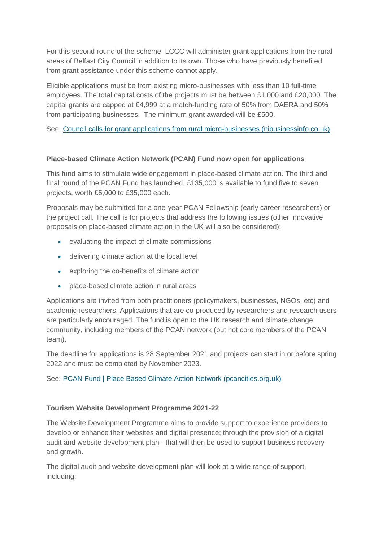For this second round of the scheme, LCCC will administer grant applications from the rural areas of Belfast City Council in addition to its own. Those who have previously benefited from grant assistance under this scheme cannot apply.

Eligible applications must be from existing micro-businesses with less than 10 full-time employees. The total capital costs of the projects must be between £1,000 and £20,000. The capital grants are capped at £4,999 at a match-funding rate of 50% from DAERA and 50% from participating businesses. The minimum grant awarded will be £500.

See: [Council calls for grant applications from rural micro-businesses \(nibusinessinfo.co.uk\)](https://www.nibusinessinfo.co.uk/content/council-calls-grant-applications-rural-micro-businesses)

#### **Place-based Climate Action Network (PCAN) Fund now open for applications**

This fund aims to stimulate wide engagement in place-based climate action. The third and final round of the PCAN Fund has launched. £135,000 is available to fund five to seven projects, worth £5,000 to £35,000 each.

Proposals may be submitted for a one-year PCAN Fellowship (early career researchers) or the project call. The call is for projects that address the following issues (other innovative proposals on place-based climate action in the UK will also be considered):

- evaluating the impact of climate commissions
- delivering climate action at the local level
- exploring the co-benefits of climate action
- place-based climate action in rural areas

Applications are invited from both practitioners (policymakers, businesses, NGOs, etc) and academic researchers. Applications that are co-produced by researchers and research users are particularly encouraged. The fund is open to the UK research and climate change community, including members of the PCAN network (but not core members of the PCAN team).

The deadline for applications is 28 September 2021 and projects can start in or before spring 2022 and must be completed by November 2023.

See: [PCAN Fund | Place Based Climate Action Network \(pcancities.org.uk\)](https://pcancities.org.uk/pcan-fund)

# **Tourism Website Development Programme 2021-22**

The Website Development Programme aims to provide support to experience providers to develop or enhance their websites and digital presence; through the provision of a digital audit and website development plan - that will then be used to support business recovery and growth.

The digital audit and website development plan will look at a wide range of support, including: